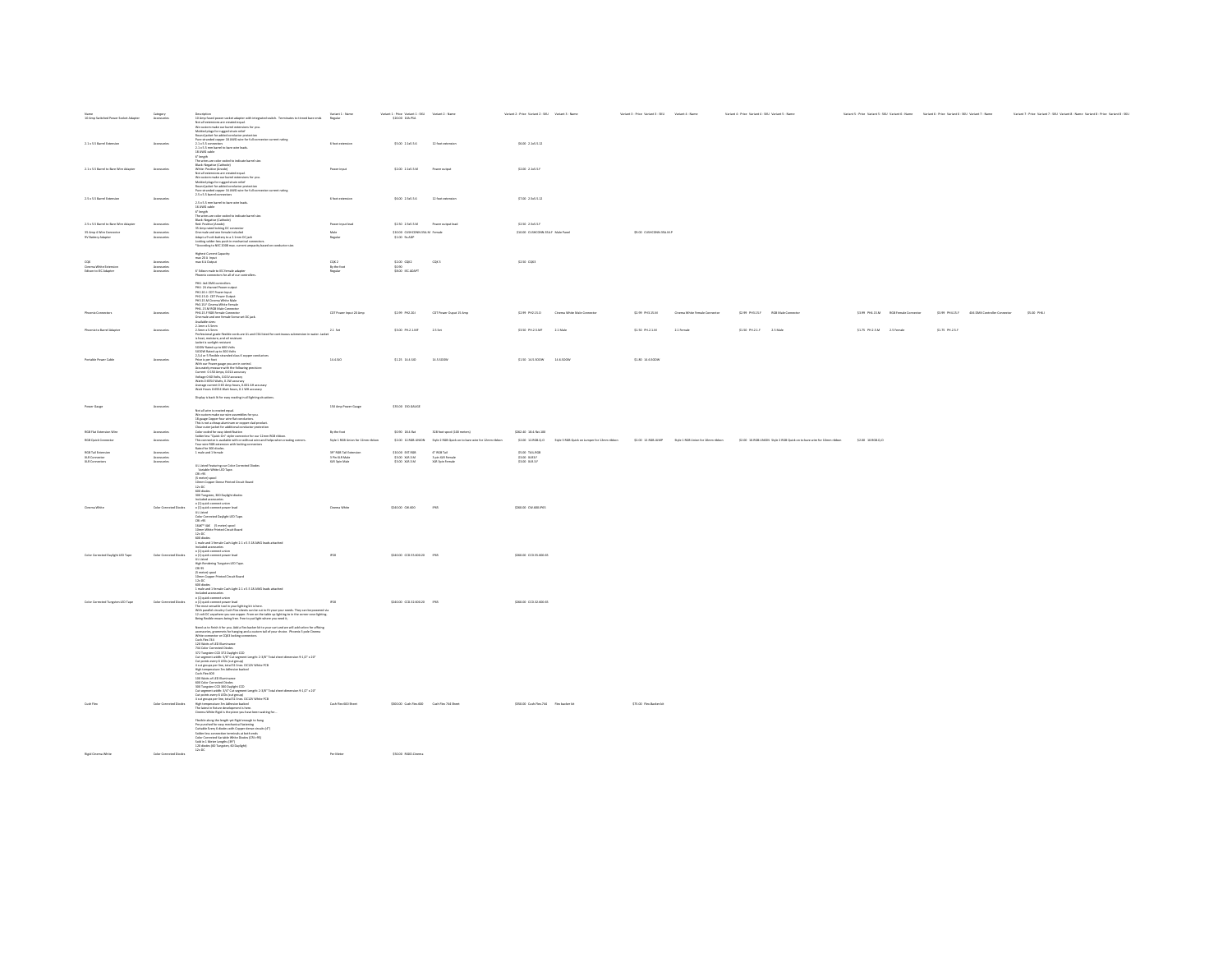| Name Category Category<br>10 Amp Switched Power Socket Adapter Accessories |                                           |                                                                                                                                                                                                                                                                                                  |                                                                                   | $\begin{tabular}{ll} \textbf{Variance 1-Price} \textbf{ Vaction 1-SHJ} & \textbf{Vaction 2-Name} \\ \textbf{520:00} \textbf{ 10A.PSA} & \end{tabular}$ |                                                                                  | Variant 2 - Price Variant 2 - SKU Variant 3 - Name |                                             | Variant 3 - Price Variant 3 - SKU Variant 4 - Name |                               | Variant 4 - Price Variant 4 - SKU Variant 5 - Name                                                                                                                                                           |                           |                                                                                               | Variant 5 - Price Variant 5 - SOJ Variant 6 - Name Variant 6 - Price Variant 6 - SRJ Variant 7 - Name Variant 7 - Price Variant 7 - SRJ Variant 8 - Name Variant 8 - Price Variant 8 - SRJ |
|----------------------------------------------------------------------------|-------------------------------------------|--------------------------------------------------------------------------------------------------------------------------------------------------------------------------------------------------------------------------------------------------------------------------------------------------|-----------------------------------------------------------------------------------|--------------------------------------------------------------------------------------------------------------------------------------------------------|----------------------------------------------------------------------------------|----------------------------------------------------|---------------------------------------------|----------------------------------------------------|-------------------------------|--------------------------------------------------------------------------------------------------------------------------------------------------------------------------------------------------------------|---------------------------|-----------------------------------------------------------------------------------------------|--------------------------------------------------------------------------------------------------------------------------------------------------------------------------------------------|
| 2.1 x 5.5 Barrel Extension                                                 | Accessories                               |                                                                                                                                                                                                                                                                                                  |                                                                                   | \$5.00 2.1x5.5.6 12 foot extension                                                                                                                     |                                                                                  | \$6.00 2.1x5.5.12                                  |                                             |                                                    |                               |                                                                                                                                                                                                              |                           |                                                                                               |                                                                                                                                                                                            |
| 2.1 x 5.5 Barrel to Bare Wire Adapter                                      | Accessoria                                |                                                                                                                                                                                                                                                                                                  |                                                                                   | \$2.00 2.1x5.5.M Power output                                                                                                                          |                                                                                  | \$2.00 2.165.5F                                    |                                             |                                                    |                               |                                                                                                                                                                                                              |                           |                                                                                               |                                                                                                                                                                                            |
|                                                                            |                                           |                                                                                                                                                                                                                                                                                                  |                                                                                   |                                                                                                                                                        |                                                                                  |                                                    |                                             |                                                    |                               |                                                                                                                                                                                                              |                           |                                                                                               |                                                                                                                                                                                            |
| 2.5 x 5.5 Barrel Extension                                                 | Accessorie                                | 2.5 x 5.5 mm barrel to bare wire leads.<br>2.5% is form harved to barre wire leads.<br>Like Willis cable<br>$G^2$ height in the color coded to indicate barrel size.<br>The wires are color coded to indicate barrel size.<br>Hast: Negative (Anodel)<br>26. For Paris decising DC conn          | 6 foot extension                                                                  | \$6.00 2.5x5.5.6    12.foot extension                                                                                                                  |                                                                                  | \$7.00 2.5×5.5.12                                  |                                             |                                                    |                               |                                                                                                                                                                                                              |                           |                                                                                               |                                                                                                                                                                                            |
| 2.5 x 5.5 Barrel to Bare Wire Adapter                                      | Accessories                               |                                                                                                                                                                                                                                                                                                  | Power input lead                                                                  | \$2.50 2.5x5.5 M Power output lead                                                                                                                     |                                                                                  | \$2.50 2.5x5.5.8                                   |                                             |                                                    |                               |                                                                                                                                                                                                              |                           |                                                                                               |                                                                                                                                                                                            |
| 25 Amp 4 Wire Connector<br>9/ Battery Adapter                              | Accessories<br>Accessories                |                                                                                                                                                                                                                                                                                                  |                                                                                   | $\begin{array}{cc} 510.00 & \text{CUSHCONALSSAM} & \text{Fernale} \\ 51.00 & 9 \text{v} A\text{DP} \end{array}$                                        |                                                                                  | \$10.00 CUSHCONN.3SA.F Male Panel                  |                                             | \$9.00 CUSHCONN.3SA.M.P                            |                               |                                                                                                                                                                                                              |                           |                                                                                               |                                                                                                                                                                                            |
|                                                                            |                                           | Locking solder-less push-in mechanical connectors.<br>*According to NEC 2008 max. current ampacity based on conductor size.                                                                                                                                                                      | Male<br>Regular                                                                   |                                                                                                                                                        |                                                                                  |                                                    |                                             |                                                    |                               |                                                                                                                                                                                                              |                           |                                                                                               |                                                                                                                                                                                            |
|                                                                            |                                           | Highest Current Capacity:<br>max 20 A  input<br>max 6 A Output                                                                                                                                                                                                                                   |                                                                                   |                                                                                                                                                        | cqx 2                                                                            | $52.50$ CQC3                                       |                                             |                                                    |                               |                                                                                                                                                                                                              |                           |                                                                                               |                                                                                                                                                                                            |
| Cinema White Extension<br>Edison to IEC Adapter                            | Accessories<br>Accessories<br>Accessories | C' Edison male to IEC female adapter                                                                                                                                                                                                                                                             | $\begin{array}{l} CQ \ell, 2 \\ \text{By the fact} \\ \text{Regular} \end{array}$ | 52.00 CQ/C2<br>50.90<br>58.00 IECADAPT                                                                                                                 |                                                                                  |                                                    |                                             |                                                    |                               |                                                                                                                                                                                                              |                           |                                                                                               |                                                                                                                                                                                            |
|                                                                            |                                           | Phoenix connectors for all of our controllers.                                                                                                                                                                                                                                                   |                                                                                   |                                                                                                                                                        |                                                                                  |                                                    |                                             |                                                    |                               |                                                                                                                                                                                                              |                           |                                                                                               |                                                                                                                                                                                            |
|                                                                            |                                           | <b>PHG- 4x4 DMX controllers</b><br>PH4- 24 channel Power output<br>PH4- At chainer Power output<br>PH2.15.0- CDT Power Output<br>PH2.15.0- CDT Power Output<br>PH3.15.M Cinema White Male<br>Ph3.15.F Cinema White Female                                                                        |                                                                                   |                                                                                                                                                        |                                                                                  |                                                    |                                             |                                                    |                               |                                                                                                                                                                                                              |                           |                                                                                               |                                                                                                                                                                                            |
| Phoenix Connectors                                                         | Accessories                               | PH4.15.M RGB Male Connector<br>PH4.15.F RGB Female Connector<br>One male and one female Screw set DC jack.<br>wallable sizes:                                                                                                                                                                    | CDT Power Input 20 Amp                                                            | \$2.99 PHZ.20.1                                                                                                                                        | CDT Power Ouput 15 Amp                                                           |                                                    | \$2.99 PHZ.15.D Cinema White Male Connector | \$2.99 PHO.15.M                                    | Cinema White Female Connector | \$2.99 PH3.15.F RGB Male Connector                                                                                                                                                                           |                           | \$3.99 PHA.15.M RGB Female Connector \$3.99 PHA.15.F 4X4 DMX Controller Connector \$5.00 PHG1 |                                                                                                                                                                                            |
| Phoenix to Barrel Adapter                                                  | Accessorie                                |                                                                                                                                                                                                                                                                                                  |                                                                                   | \$3.00 PH2.1MF                                                                                                                                         | 2.5 Set                                                                          | \$1.50 PH.2.5.MF 2.1 Male                          |                                             | \$1.50 PH2.1M                                      | 2.1 Female                    | \$1.50 PH.2.1.F 2.5 Male                                                                                                                                                                                     | \$1.75 PH2.5.M 2.5 Female | \$1.75 PH2.5.F                                                                                |                                                                                                                                                                                            |
| Portable Power Cable                                                       | Accessoria                                |                                                                                                                                                                                                                                                                                                  |                                                                                   | \$1.25 14.4.50                                                                                                                                         | 14.5.500W                                                                        | \$1.50 14.5.500W 14.6.500W                         |                                             | \$1.80 14.6.500W                                   |                               |                                                                                                                                                                                                              |                           |                                                                                               |                                                                                                                                                                                            |
|                                                                            |                                           | Analohi inisa (k. 1858)<br>1946 – Karol Maria Barta (k. 1845)<br>1946 – Karol Maria Barta (k. 1845)<br>1946 – Karol Maria Barta (k. 1845)<br>1946 – Karol Maria Barta (k. 1845)<br>1946 – Karol Maria Barta (k. 1845)<br>1946 – Karol Maria Bar<br>Watt Hours 0-6554 Watt hours, 0.1 WH accuracy |                                                                                   |                                                                                                                                                        |                                                                                  |                                                    |                                             |                                                    |                               |                                                                                                                                                                                                              |                           |                                                                                               |                                                                                                                                                                                            |
|                                                                            |                                           | Display is back it for easy reading in all lighting situations.                                                                                                                                                                                                                                  |                                                                                   |                                                                                                                                                        |                                                                                  |                                                    |                                             |                                                    |                               |                                                                                                                                                                                                              |                           |                                                                                               |                                                                                                                                                                                            |
| Power Gauge                                                                | Accessories                               | Not all wire is created equal.<br>We custom make our wire assembles for you.<br>18 gauge Copper four wire flat conductors.                                                                                                                                                                       | 150 Arep Power Gauge                                                              | \$35.00 150, GAUGE                                                                                                                                     |                                                                                  |                                                    |                                             |                                                    |                               |                                                                                                                                                                                                              |                           |                                                                                               |                                                                                                                                                                                            |
|                                                                            |                                           |                                                                                                                                                                                                                                                                                                  |                                                                                   |                                                                                                                                                        |                                                                                  |                                                    |                                             |                                                    |                               |                                                                                                                                                                                                              |                           |                                                                                               |                                                                                                                                                                                            |
| <b>RGB Flat Extension Wire</b>                                             | Accessories                               |                                                                                                                                                                                                                                                                                                  | By the foot                                                                       | \$0.90 18.4 flat                                                                                                                                       | 328 foot spool (100 meters)                                                      | \$262.40 18.4.flat.100                             |                                             |                                                    |                               |                                                                                                                                                                                                              |                           |                                                                                               |                                                                                                                                                                                            |
| RGB Quick Connector<br><b>RGB Tall Extension</b>                           | Accessories                               | . In graps to constrain an constant of compare clusters, the state of the state of the state of the state of the state of the state of the state of the state of the state of the state of the state of the state of the stat                                                                    | Style 1 RGB Union for 12mm ribbon<br>30° 0C0 Tel Estatement                       | store priece                                                                                                                                           | \$2.00 12.RGB.UNDN 3/y/e 2.RGB Quick on to bare wire for 12mm ribbon<br>C'OCRTHE | CLOB TAN DOR                                       |                                             |                                                    |                               | \$2.00 12.8GR.0,0 Style 3.8GR Quick on Jumper for 12mm ribbon \$2.00 12.8GR.01MP Style 1.RGR Listen for Efterm ribbon \$2.00 10.8GR.10MM Style 3.RGR Quick on to bare wire for 50mm ribbon \$2.00 10.8GR.0,0 |                           |                                                                                               |                                                                                                                                                                                            |
| XLR Connector                                                              | Accessories<br>Accessories<br>Accessories |                                                                                                                                                                                                                                                                                                  | 3 Pin XLR Male<br>3 Pin XLR Male<br>XLR 3pin Male                                 | \$3.00 XLR.3.M                                                                                                                                         | 3 pin XLR Female<br>XLR 3pin Female                                              | $53.00$ $MRS$                                      |                                             |                                                    |                               |                                                                                                                                                                                                              |                           |                                                                                               |                                                                                                                                                                                            |
|                                                                            |                                           | UL Listed Featuring our Color Connected Diodes<br>Variable White LED Tape.<br>CRI >95                                                                                                                                                                                                            |                                                                                   |                                                                                                                                                        |                                                                                  |                                                    |                                             |                                                    |                               |                                                                                                                                                                                                              |                           |                                                                                               |                                                                                                                                                                                            |
|                                                                            |                                           | Lez >vo<br> S meter) spool<br> 10mm Capper Derue Printed Circuit Baard                                                                                                                                                                                                                           |                                                                                   |                                                                                                                                                        |                                                                                  |                                                    |                                             |                                                    |                               |                                                                                                                                                                                                              |                           |                                                                                               |                                                                                                                                                                                            |
|                                                                            |                                           | zentru Capes Serrer Primera Casan<br>1870:<br>180 diades<br>180 Tungsten, 300 Daylight diades<br>Included accessories                                                                                                                                                                            |                                                                                   |                                                                                                                                                        |                                                                                  |                                                    |                                             |                                                    |                               |                                                                                                                                                                                                              |                           |                                                                                               |                                                                                                                                                                                            |
|                                                                            |                                           |                                                                                                                                                                                                                                                                                                  |                                                                                   |                                                                                                                                                        |                                                                                  |                                                    |                                             |                                                    |                               |                                                                                                                                                                                                              |                           |                                                                                               |                                                                                                                                                                                            |
| Cinema White                                                               |                                           |                                                                                                                                                                                                                                                                                                  |                                                                                   |                                                                                                                                                        |                                                                                  |                                                    |                                             |                                                    |                               |                                                                                                                                                                                                              |                           |                                                                                               |                                                                                                                                                                                            |
|                                                                            | <b>Color Corrected Diodes</b>             | o (1) quick connect union<br>o (1) quick connect power lead                                                                                                                                                                                                                                      | Cinema White                                                                      | \$240.00 CW.600                                                                                                                                        | IP65                                                                             | \$260.00 CW.600.P65                                |                                             |                                                    |                               |                                                                                                                                                                                                              |                           |                                                                                               |                                                                                                                                                                                            |
|                                                                            |                                           | UL Listed<br>Color Corrected Daylight LED Tape.<br>CRI >95<br>163C <sup>**</sup> 43C (S meter) spool                                                                                                                                                                                             |                                                                                   |                                                                                                                                                        |                                                                                  |                                                    |                                             |                                                    |                               |                                                                                                                                                                                                              |                           |                                                                                               |                                                                                                                                                                                            |
|                                                                            |                                           | 10mm White Printed Circuit Board<br>12v DC<br>600 diodes<br>1 male and 1 female Cush Light 2.1 x 5.5 18 AWG leads attached                                                                                                                                                                       |                                                                                   |                                                                                                                                                        |                                                                                  |                                                    |                                             |                                                    |                               |                                                                                                                                                                                                              |                           |                                                                                               |                                                                                                                                                                                            |
|                                                                            |                                           |                                                                                                                                                                                                                                                                                                  |                                                                                   |                                                                                                                                                        |                                                                                  |                                                    |                                             |                                                    |                               |                                                                                                                                                                                                              |                           |                                                                                               |                                                                                                                                                                                            |
| Color Corrected Daylight LED Tape                                          | Color Corrected Diodes                    |                                                                                                                                                                                                                                                                                                  | $_{\rm P20}$                                                                      | $5240.00$ $CCD.55.600.20$ $-$ IP65                                                                                                                     |                                                                                  | \$260.00 CCD \$5.600.65                            |                                             |                                                    |                               |                                                                                                                                                                                                              |                           |                                                                                               |                                                                                                                                                                                            |
|                                                                            |                                           |                                                                                                                                                                                                                                                                                                  |                                                                                   |                                                                                                                                                        |                                                                                  |                                                    |                                             |                                                    |                               |                                                                                                                                                                                                              |                           |                                                                                               |                                                                                                                                                                                            |
|                                                                            |                                           |                                                                                                                                                                                                                                                                                                  |                                                                                   |                                                                                                                                                        |                                                                                  |                                                    |                                             |                                                    |                               |                                                                                                                                                                                                              |                           |                                                                                               |                                                                                                                                                                                            |
|                                                                            |                                           |                                                                                                                                                                                                                                                                                                  |                                                                                   |                                                                                                                                                        |                                                                                  |                                                    |                                             |                                                    |                               |                                                                                                                                                                                                              |                           |                                                                                               |                                                                                                                                                                                            |
|                                                                            |                                           | 1 mole and 1 fermin Grobs (aph 2.1 x 5.5 18 AMG leads attached<br>totaled accreasion<br>totaled accreasion<br>on the constant of the stress of the stress of the stress of the stress<br>of the stress of the stress of the stress of the                                                        |                                                                                   |                                                                                                                                                        |                                                                                  |                                                    |                                             |                                                    |                               |                                                                                                                                                                                                              |                           |                                                                                               |                                                                                                                                                                                            |
| Color Corrected Tungsten LED Tape                                          | Color Corrected Diodes                    |                                                                                                                                                                                                                                                                                                  | P20                                                                               | \$240.00 CCD.32.600.20 PES                                                                                                                             |                                                                                  | \$260.00 CCD 32.600.65                             |                                             |                                                    |                               |                                                                                                                                                                                                              |                           |                                                                                               |                                                                                                                                                                                            |
|                                                                            |                                           | instudent accessores<br>o (1) quick connect union<br>The most versation tool in your lead<br>With parallel circuitry Cush Fiex sheets can be cut to fit your your needs. They can be powered via<br>With parallel circuitry Cush Fiex shee                                                       |                                                                                   |                                                                                                                                                        |                                                                                  |                                                    |                                             |                                                    |                               |                                                                                                                                                                                                              |                           |                                                                                               |                                                                                                                                                                                            |
|                                                                            |                                           | 12 volt DC anywhere you see copper. From on the table up lighting to in the corner cove lighting.<br>Reing flexible means being free. Free to put light where you need it,                                                                                                                       |                                                                                   |                                                                                                                                                        |                                                                                  |                                                    |                                             |                                                    |                               |                                                                                                                                                                                                              |                           |                                                                                               |                                                                                                                                                                                            |
|                                                                            |                                           | Need us to finish it for you. Add a flex backer kit to your cart and we will add veloro for affixing                                                                                                                                                                                             |                                                                                   |                                                                                                                                                        |                                                                                  |                                                    |                                             |                                                    |                               |                                                                                                                                                                                                              |                           |                                                                                               |                                                                                                                                                                                            |
|                                                                            |                                           |                                                                                                                                                                                                                                                                                                  |                                                                                   |                                                                                                                                                        |                                                                                  |                                                    |                                             |                                                    |                               |                                                                                                                                                                                                              |                           |                                                                                               |                                                                                                                                                                                            |
|                                                                            |                                           | accouncine, generates for hanging and a custom tail of your choice. Phoenix 3 pole Cloema White connection or CQ(2) looking connectors.<br>Cush Fins: 744<br>Cush Fins: 744<br>120 Watts of LEO Illuminance                                                                                      |                                                                                   |                                                                                                                                                        |                                                                                  |                                                    |                                             |                                                    |                               |                                                                                                                                                                                                              |                           |                                                                                               |                                                                                                                                                                                            |
|                                                                            |                                           |                                                                                                                                                                                                                                                                                                  |                                                                                   |                                                                                                                                                        |                                                                                  |                                                    |                                             |                                                    |                               |                                                                                                                                                                                                              |                           |                                                                                               |                                                                                                                                                                                            |
|                                                                            |                                           |                                                                                                                                                                                                                                                                                                  |                                                                                   |                                                                                                                                                        |                                                                                  |                                                    |                                             |                                                    |                               |                                                                                                                                                                                                              |                           |                                                                                               |                                                                                                                                                                                            |
|                                                                            |                                           | 240 MGM Control and means of the SMC Control of the SMC Control and Control of Control and Control of Control and Control of Control and Control of Control and Control of Control and Control of Control of Control of Contr                                                                    |                                                                                   |                                                                                                                                                        |                                                                                  |                                                    |                                             |                                                    |                               |                                                                                                                                                                                                              |                           |                                                                                               |                                                                                                                                                                                            |
|                                                                            |                                           |                                                                                                                                                                                                                                                                                                  |                                                                                   |                                                                                                                                                        |                                                                                  |                                                    |                                             |                                                    |                               |                                                                                                                                                                                                              |                           |                                                                                               |                                                                                                                                                                                            |
|                                                                            |                                           | Canh Flex 600<br>100 Watts of LED Illuminance<br>200 Color Corrected Diodes<br>200 Tungsten CCD 200 Daylight CCD<br>Cut segment width: 2/4" Cut segment Length: 2-2/8" Total sheet dimension 9-1/2" x 20"<br>Cut segment width: 2/4" Cut segm                                                    |                                                                                   |                                                                                                                                                        |                                                                                  |                                                    |                                             |                                                    |                               |                                                                                                                                                                                                              |                           |                                                                                               |                                                                                                                                                                                            |
| Cush Flex                                                                  | Color Corrected Diodes                    | Las syguents were plated to the sequence senger. Property CLED (Cut group)<br>4 cut groups per line, total 21 lines. DCL2V White PCB<br>High temperature 2m Adhesiae backed<br>The latest in fluture development is here.                                                                        | Cush Flex 600 Sheet                                                               | \$300.00 Cush.Flex.600 Cush Flex 744 Sheet                                                                                                             |                                                                                  | \$350.00 Cush Flex 764 Flex backer kit             |                                             | \$75.00 Flex Backer.kit                            |                               |                                                                                                                                                                                                              |                           |                                                                                               |                                                                                                                                                                                            |
|                                                                            |                                           | Cinema White Rigid is the piece you have been waiting for                                                                                                                                                                                                                                        |                                                                                   |                                                                                                                                                        |                                                                                  |                                                    |                                             |                                                    |                               |                                                                                                                                                                                                              |                           |                                                                                               |                                                                                                                                                                                            |
|                                                                            |                                           |                                                                                                                                                                                                                                                                                                  |                                                                                   |                                                                                                                                                        |                                                                                  |                                                    |                                             |                                                    |                               |                                                                                                                                                                                                              |                           |                                                                                               |                                                                                                                                                                                            |
|                                                                            |                                           |                                                                                                                                                                                                                                                                                                  |                                                                                   |                                                                                                                                                        |                                                                                  |                                                    |                                             |                                                    |                               |                                                                                                                                                                                                              |                           |                                                                                               |                                                                                                                                                                                            |
|                                                                            |                                           | Finalis along the langth yet Rigid enough to hang<br>Finalis along the langth yet Rigid enough to hang Fin purched for easy mechanical langte<br>is close to constitute the mechanical langth of the constant of Scale<br>Catter langt                                                           |                                                                                   |                                                                                                                                                        |                                                                                  |                                                    |                                             |                                                    |                               |                                                                                                                                                                                                              |                           |                                                                                               |                                                                                                                                                                                            |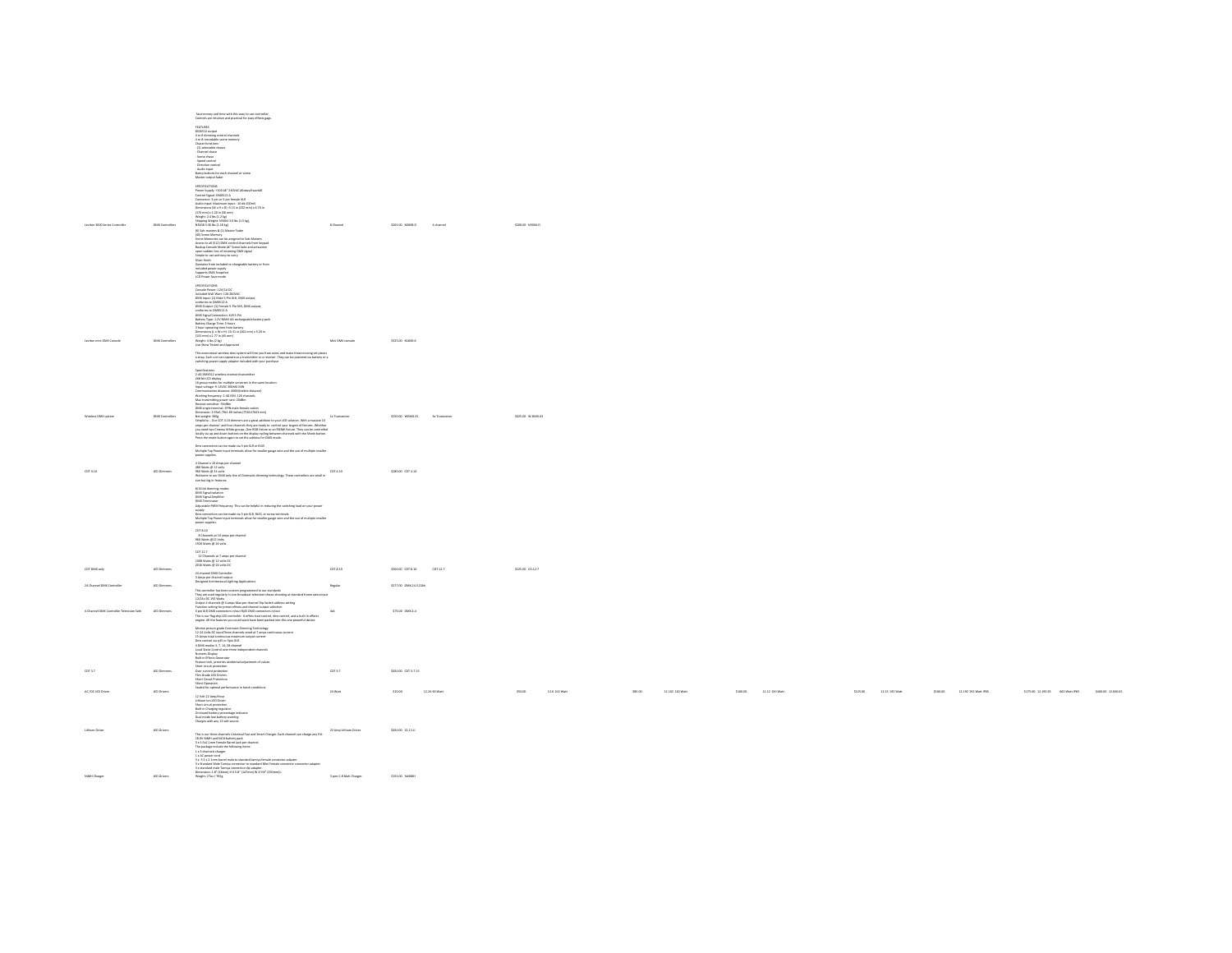|                                          |                        | Save money and time with this easy to use controller.<br>Controls are intuitive and practical for easy effects gags                                                                                                                                                                                                                                                                                                                                                                                                                                                                                                                                                                                                                                                                                                                        |                                          |                        |                      |                          |
|------------------------------------------|------------------------|--------------------------------------------------------------------------------------------------------------------------------------------------------------------------------------------------------------------------------------------------------------------------------------------------------------------------------------------------------------------------------------------------------------------------------------------------------------------------------------------------------------------------------------------------------------------------------------------------------------------------------------------------------------------------------------------------------------------------------------------------------------------------------------------------------------------------------------------|------------------------------------------|------------------------|----------------------|--------------------------|
|                                          |                        | <b>FEATURES</b><br>DMX512 output<br>4 or 8 dimming control channels<br>4 or 8 recordable scene memory<br>Chaser functions:<br>- (2) selectable chases<br>- Channel chase<br>- Scene chase<br>-<br>Speed control<br>- Direction control<br>- Audio input<br>Eump buttons for each channel or scene<br>Master output fade                                                                                                                                                                                                                                                                                                                                                                                                                                                                                                                    |                                          |                        |                      |                          |
| Leviton 3000 Series Controller           | <b>DMX Controllers</b> | SPECIFICATIONS<br>France Supply: +100 BC" 240WC BEarwall wart3E<br>Control Signal: OMX512-A<br>Connector: 3-pin or 5-pin female 31R<br>Contention - Parts of the Space Metals<br>Audio Imput: Maximum Imput: -10 db 100mV<br>Dimensions (W x Hx O): -0.1 lo (232 mm) x 6.70 ln<br>(170 mm) x 2.20 ln (56 mm)<br>Disping Xial ln (1.1 kg)<br>Shipping Xial ln (1.1 kg)<br>H <u>2008 X.3</u> 6 l<br>NA2021 3.36 lin (1.18 ilg.)<br> 6] Sub-masters & [1] Master Fader<br> 6] Sub-masters & [1] Master Fader<br> 60] Sunne Memory<br> <br>Rocen Metrodies can be Model M <sup>2</sup> Sure from keypad<br>  Backley Conside Mode M <sup>2</sup> Sure from keypad<br>  super<br>Sher finish<br>Silver finish<br>Operation from included re-chargeable battery or from<br>Included power supply<br>Supports DMX Snapshot<br>LCD Power Save mode | 8 Channel                                | \$265.00 N3008-D       | 4 channel            | \$200.00 N3004-D         |
| Leyiton mini DMX Console                 | <b>DMX Controllers</b> | senerations<br>s<br>nosle Power: 12V/1A DC<br>cluded Wall Wart: 12D-2G<br>Containe Planet: 128/2A UC<br>Included Wall Wart: 135-260/AC<br>DMX Input: [1] Main 5-Pin XLR, DMX output,<br>conforms to DMX512-A<br>conterms to DAOS13-A<br>200813-A<br>20081 Collyster, (1) Fermale 5-Pin XIR, DMX catpat, context<br>conterms as DAOS13-A<br>20081 Connection: XIR 5-Pin<br>20181 Connection: XIR 5-Pin<br>201811-A<br>21-Thur Connection: New Theory Connect<br>Weight: 4 lbs (2 kg)<br>Live Show Tested and Approved                                                                                                                                                                                                                                                                                                                       | Mini DWX console                         | \$325.00 N1000-6       |                      |                          |
|                                          |                        | This economical wireless drax system will free you from wires and make those moving set pieces<br>a snap. Each unit can operate as a transmitter or a receiver. They can be powered via battery or a<br>switching power supply adapt<br>Specifications:<br>2.4G DMXS12 wireless receiver/transmitter<br>23G bit LCD display<br>1G group modes for multiple universes in the same location<br>14 group modes to multiple universes in the same la<br>14 group modes to 1200C 3000Ms MBN<br>Communication distance 400Mk/sidele distance)<br>Communication distance 400Mk/sidele distance)<br>Max transmitting grower rate: 2008m<br>M                                                                                                                                                                                                       |                                          |                        |                      |                          |
| Winniess DMX system                      | <b>DMX Controllers</b> | Unitersection - Schen, 19, 2001<br>Service - Schen Control - Schen Control - Schen Schen Schen Schen Schen Schen Schen Schen Schen Schen Schen Sc<br>Service - Schen Schen Schen Channels They are readed to control year Lagrange o<br>.<br>Dmx connection can be made via 5 pin XLR or RI45<br>Multiple Tap Power input terminals allow for smaller gauge wire and the use of multiple smaller<br>power supplies                                                                                                                                                                                                                                                                                                                                                                                                                         | <b>1x Transpoker</b>                     | \$150.00 WDARKX1       | <b>Jx Transpoint</b> | SIZS 00 W.DMXXX          |
| cor a so.                                | LED Dimmers            | 4 Channel x 10 Amps per channel<br>480 Watts @ 12 volts<br>4ste worst or as work<br>1960 Worts of 2 and DMS only line of Chematic dimming technology. These controllers are small in<br>Welcome to our DMX only line of Chematic dimming technology. These controllers are small in<br>size but bi                                                                                                                                                                                                                                                                                                                                                                                                                                                                                                                                         |                                          | \$180.00 CDT 4.10      |                      |                          |
|                                          |                        | \$/16 bit dimming modes<br>DMX Signal isolation<br>DMX Signal Amplifier<br>cover aguas.<br>And unable property This can be helpful in reducing the radioting bast on your power<br>And unable Profil frequency: This can be helpful in reducing the radioting load on your power<br>Direcconnection can be made vi<br>CDT.8.10                                                                                                                                                                                                                                                                                                                                                                                                                                                                                                             |                                          |                        |                      |                          |
|                                          |                        | ED1.8.10<br>8 Channels at 10 amps per channel<br>960 Watts @12 Volts<br>1920 Watts @ 24 volts                                                                                                                                                                                                                                                                                                                                                                                                                                                                                                                                                                                                                                                                                                                                              |                                          |                        |                      |                          |
| CDT DMX only                             | LED Dimmers            | COT 12.7<br>12 Channels at 7 amps per channel<br>1008 Watts @ 12 volts DC<br>2016 Watts @ 34 volts DC<br>24 channel DMX Controller<br>3 Amps per channel output.<br>Designed Architectural Lighting Applications                                                                                                                                                                                                                                                                                                                                                                                                                                                                                                                                                                                                                           | CDT.R.10                                 | \$200.00 CDT.8.10      | CDT.12.7             | \$225.00 €0.12.7         |
| 24 Channel DMX Controller                | LED Dimmers            |                                                                                                                                                                                                                                                                                                                                                                                                                                                                                                                                                                                                                                                                                                                                                                                                                                            | Regular                                  | \$277.00 DMK.24.3.22kh |                      |                          |
| 4 Channel DMX Controller Television Safe | LED Dimmers            | This controller has been custom programmed to our standards<br>$\operatorname{Thry}{\mathfrak g} w$ and star ingularly in the broadcast inferior shows shocking at standard frame rates apply<br>$D2\mu k$ or $D2\mu k$ in any star in the star of the<br>star<br>engine. All the features you could want have been packed into this one powerful device.                                                                                                                                                                                                                                                                                                                                                                                                                                                                                  | 4st                                      | \$75.00 DMX.4.4        |                      |                          |
|                                          |                        | Motion pitture grade Chematic Chemical grade<br>viology (Factoriogy) and Discussion pitter (Factoriogy)<br>13 Alvelin Grade (Factoriogy) and Motion Chemical Schwarz (Factoriogy)<br>15 Alvelin Confiningum materials computed current                                                                                                                                                                                                                                                                                                                                                                                                                                                                                                                                                                                                     |                                          |                        |                      |                          |
| cot 27                                   | LED Dimmers            | Short circuit protection<br>Over current protection<br>Film Grade LED Drivers.<br>Short Circuit Protection<br>Silent Operation<br>Sealed for optimal performance in harsh conditions                                                                                                                                                                                                                                                                                                                                                                                                                                                                                                                                                                                                                                                       | CDT.2.7                                  | \$450.00 CDT.3.7.15    |                      |                          |
| AC /DC LED Driver                        | LED Drivers            | 12 Volt 22 Amp/Hour<br>ar was a mongeveer<br>Short circuit protection<br>Short circuit protection<br>Suit in Charging regulator<br>On board battery percentage indicator<br>Dual mode low battery warning<br>Charges with any 12 volt source                                                                                                                                                                                                                                                                                                                                                                                                                                                                                                                                                                                               | 24 Watt                                  | \$20.00                | 12.24 60 Warr        | \$50.00<br>12.6 102 Watt |
| Lithium Driver                           | LED Drivers            | This is our three channels Universal Fast and Smart Charger. Each channel can charge any 9.6-<br>18.0/ NiklH and NGd battery pack<br>3x K.So.Z.Imm Fernale Barrel Jack per channel.<br>The package include the following been:<br>1 x 3 channels charger<br>1 x d'Anomés charger<br>2 a AC pouer cont<br>2 a AC pouer cont<br>2 a AC pouer cont<br>2 a CAC pouer cont<br>2 a standard mais Tawiya connectar toja adapter.<br>Noir Fernale connectar adapter à 1 a standard mais Tawiya (2011)<br>2 a standard                                                                                                                                                                                                                                                                                                                              | 22 Amp Lithium Driver                    | \$450.00 22.12.11      |                      |                          |
| NMH Charger                              | LED Drivers            |                                                                                                                                                                                                                                                                                                                                                                                                                                                                                                                                                                                                                                                                                                                                                                                                                                            | 3 port 1.8 Mah Charger \$155.00 Solition |                        |                      |                          |

24 Watt \$20.00 12.24 60 Watt \$50.00 12.6 102 Watt \$85.00 12.102 120 Watt \$100.00 12.12 150 Watt \$125.00 12.15 192 Watt \$160.00 12.192 192 Watt IP65 \$175.00 12.192.65 600 Watt IP65 \$400.00 12.600.65